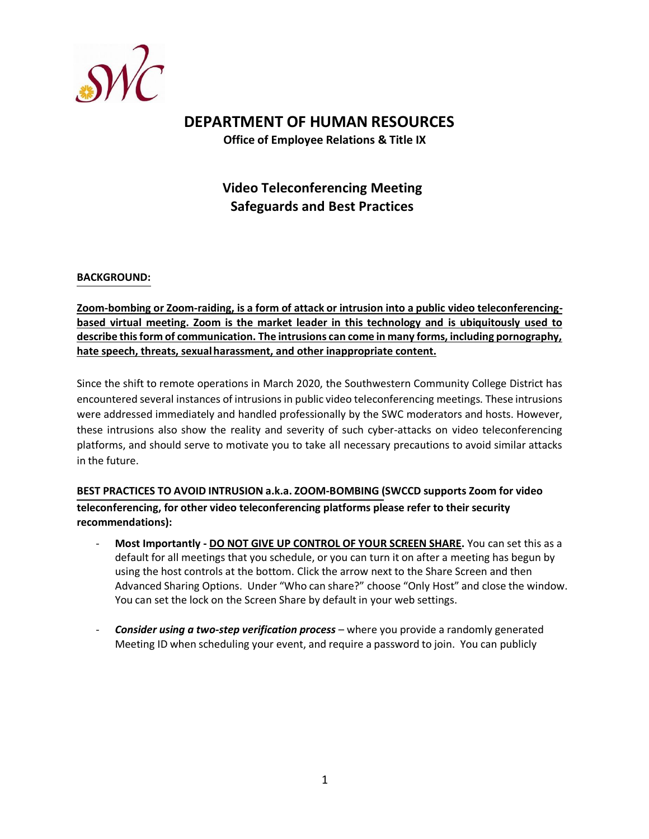

# **DEPARTMENT OF HUMAN RESOURCES**

**Office of Employee Relations & Title IX**

# **Video Teleconferencing Meeting Safeguards and Best Practices**

#### **BACKGROUND:**

**Zoom-bombing or Zoom-raiding, is a form of attack or intrusion into a public video teleconferencingbased virtual meeting. Zoom is the market leader in this technology and is ubiquitously used to describe this form of communication. The intrusions can come in many forms, including pornography, hate speech, threats, sexual harassment, and other inappropriate content.**

Since the shift to remote operations in March 2020, the Southwestern Community College District has encountered several instances of intrusions in public video teleconferencing meetings. These intrusions were addressed immediately and handled professionally by the SWC moderators and hosts. However, these intrusions also show the reality and severity of such cyber-attacks on video teleconferencing platforms, and should serve to motivate you to take all necessary precautions to avoid similar attacks in the future.

**BEST PRACTICES TO AVOID INTRUSION a.k.a. ZOOM-BOMBING (SWCCD supports Zoom for video teleconferencing, for other video teleconferencing platforms please refer to their security recommendations):**

- **Most Importantly - DO NOT GIVE UP CONTROL OF YOUR SCREEN SHARE.** You can set this as a default for all meetings that you schedule, or you can turn it on after a meeting has begun by using the host controls at the bottom. Click the arrow next to the Share Screen and then Advanced Sharing Options. Under "Who can share?" choose "Only Host" and close the window. You can set the lock on the Screen Share by default in your web settings.
- *Consider using a two-step verification process –* **where you provide a randomly generated** Meeting ID when scheduling your event, and require a password to join. You can publicly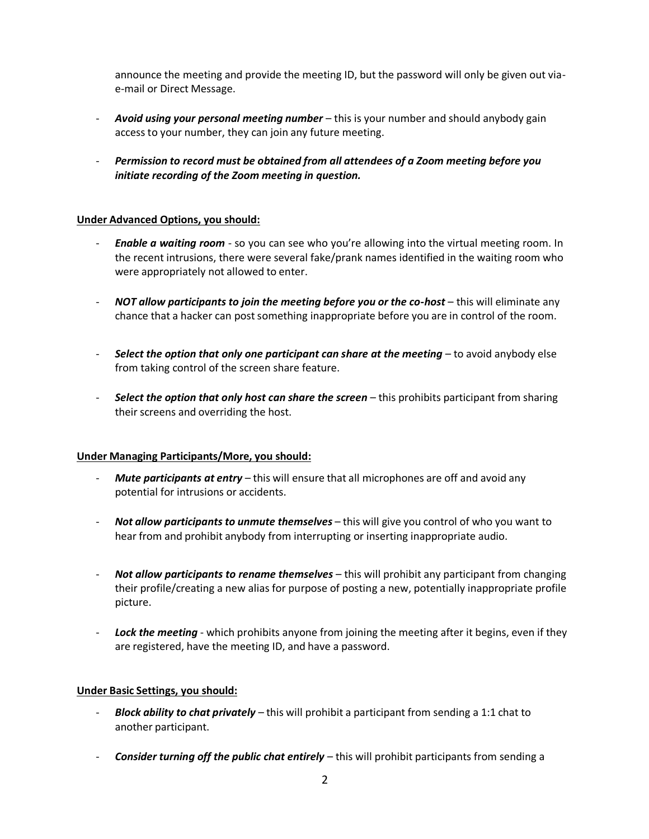announce the meeting and provide the meeting ID, but the password will only be given out viae-mail or Direct Message.

- *Avoid using your personal meeting number*  this is your number and should anybody gain access to your number, they can join any future meeting.
- *Permission to record must be obtained from all attendees of a Zoom meeting before you initiate recording of the Zoom meeting in question.*

## **Under Advanced Options, you should:**

- *Enable a waiting room*  so you can see who you're allowing into the virtual meeting room. In the recent intrusions, there were several fake/prank names identified in the waiting room who were appropriately not allowed to enter.
- *NOT allow participants to join the meeting before you or the co-host* **this will eliminate any** chance that a hacker can post something inappropriate before you are in control of the room.
- **Select the option that only one participant can share at the meeting** to avoid anybody else from taking control of the screen share feature.
- *Select the option that only host can share the screen* this prohibits participant from sharing their screens and overriding the host.

#### **Under Managing Participants/More, you should:**

- *Mute participants at entry* this will ensure that all microphones are off and avoid any potential for intrusions or accidents.
- *Not allow participants to unmute themselves* this will give you control of who you want to hear from and prohibit anybody from interrupting or inserting inappropriate audio.
- *Not allow participants to rename themselves*  this will prohibit any participant from changing their profile/creating a new alias for purpose of posting a new, potentially inappropriate profile picture.
- Lock the meeting which prohibits anyone from joining the meeting after it begins, even if they are registered, have the meeting ID, and have a password.

#### **Under Basic Settings, you should:**

- *Block ability to chat privately*  this will prohibit a participant from sending a 1:1 chat to another participant.
- *Consider turning off the public chat entirely*  this will prohibit participants from sending a